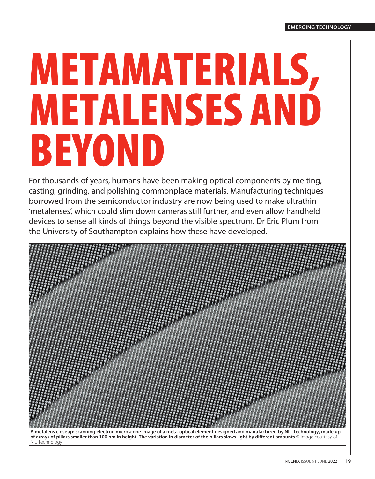# METAMATERIALS, METALENSES AND BEYOND

For thousands of years, humans have been making optical components by melting, casting, grinding, and polishing commonplace materials. Manufacturing techniques borrowed from the semiconductor industry are now being used to make ultrathin 'metalenses', which could slim down cameras still further, and even allow handheld devices to sense all kinds of things beyond the visible spectrum. Dr Eric Plum from the University of Southampton explains how these have developed.

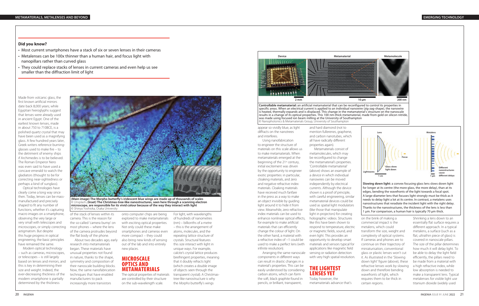Made from volcanic glass, the first known artificial mirrors date back 8,000 years; while Egyptian hieroglyphs suggest that lenses were already used in ancient Egypt. One of the earliest known lenses, made in about 750 to 710BCE, is a polished quartz crystal that may have been used as a magnifying glass. A few hundred years later, Greek writers reference burningglasses used to make fire – to the detriment of enemy ships if Archimedes is to be believed. The Roman Emperor Nero was even said to have used a concave emerald to watch the gladiators (thought to be for correcting near-sightedness or perhaps a kind of sunglass).

Optical technologies have clearly come a long way since then. Today, lenses can be massmanufactured and precisely shaped to fit any number of functions, whether it's capturing macro images on a smartphone, observing the very large or very small with telescopes and microscopes, or simply correcting astigmatism. But despite this huge progress in optical engineering, the basic principles have remained the same.

Modern optical technology – such as cameras, microscopes, or telescopes – is still largely based on lenses and mirrors, and this is key in determining their size and weight. Indeed, the ever-decreasing thickness of the modern smartphone is partially determined by the thickness

of the stack of lenses within its camera. This is the reason for the so-called 'camera bump' on most phones – where the lens of the camera protrudes beyond the flat body of the phone.

About two decades ago, early research into metamaterials began. These materials have unusual properties not found in nature, thanks to the shape, symmetry and composition of their nanoscale building blocks. Now, the same nanofabrication techniques that have enabled manufacturers to pack increasingly more transistors

onto computer chips are being explored to make metamaterials with exciting optical properties. Not only could these make smartphones and cameras even more compact – they could also bring new kinds of sensing out of the lab and into entirely new places.

## MICROSCALE OPTICS AND METAMATERIALS

The optical properties of materials are controlled by their structure on the sub-wavelength scale.

For light, with wavelengths

of hundreds of nanometres (nm) – billionths of a metre – this is the arrangement of atoms, molecules, and the repeating lattice structure of crystals. Structural features this size interact with light in unique ways. For example, calcite's crystal lattice produces birefringent properties, meaning that it doubly refracts light (which creates a double image of objects seen through the transparent crystal). A Christmastree-like nanostructure is why the *Morpho* butterfly's wings

### **Did you know?**

- Most current smartphones have a stack of six or seven lenses in their cameras
- Metalenses can be 100x thinner than a human hair, and focus light with nanopillars rather than curved glass
- They could replace stacks of lenses in current cameras and even help us see smaller than the diffraction limit of light

appear so vividly blue, as light diffracts on the nanotrees and interferes.

Using nanofabrication to engineer the structure of materials on this scale allows us to make metamaterials. When metamaterials emerged at the beginning of the 21<sup>st</sup> century, initial excitement was driven by the opportunity to engineer exotic properties: in particular, cloaking materials, and zero and negative refractive index materials. Cloaking materials have received much fanfare in the press as a way to make an object invisible by guiding light around it to hide it from view. Meanwhile, zero refractive index materials can be used to enhance nonlinear optical effects, for example to make artificial materials that can efficiently change the colour of light. On the other hand, a material with a refractive index of −1 could be used to make a perfect lens (with infinite resolution).

Arranging the same nanoscale components in different ways can result in drastic changes in a material's properties. This can be easily understood by considering carbon atoms, which can form the soft, black graphite found in pencils, or brilliant, transparent,

and hard diamond (not to mention fullerenes, graphene, and carbon nanotubes, which all have radically different properties again).

Metamaterials consist of metamolecules, which may be reconfigured to change the metamaterial's properties. 'Controllable metamaterial' (above) shows an example of a device in which individual nanowires can be moved independently by electrical currents. Although the device shown is a proof of principle, with careful engineering, similar metamaterial devices could be used as spatial light modulators (like those that manipulate light in projectors) for creating holographic videos. Structures like this have been shown to respond to temperature, electric or magnetic fields, sound, and even light. This provides an opportunity to develop smart materials and sensors typical for applications like magnetic field sensing or radiation detection with very high spatial resolution.



LENSES YET

Today however, the metamaterials advance that's

on the brink of making a commercial impact is the metalens, which could transform the size, weight and complexity of optical systems. If cameras and phones are to continue on their trajectory of miniaturisation, conventional glass or plastic lenses won't cut it. As illustrated in the 'Slowing down light' figure (above), these refractive lenses work by slowing down and therefore bending wavefronts of light, which requires them to be thick in certain regions.

Shrinking a lens down to an essentially flat surface requires a different approach. In a typical metalens, a surface (such as a flat, ultrathin piece of glass) is covered in nanoscale pillars. The size of the pillar determines how much it will delay light. To be able to delay the light field efficiently, the pillars need to be made from a material with a high refractive index, while low absorption is needed to make a transparent lens. Typical metalenses for visible light use titanium dioxide (widely used



**(Main image) The Morpho butterfly's iridescent blue wings are made up of thousands of scales**  © Unsplash**. (Inset) The Christmas-tree-like nanostructures, seen here through a scanning electron microscope, are responsible for its vivid colour because of the way they interact with light**  © Shinya Yoshioka, Osaka University

**Controllable metamaterial:** an artificial metamaterial that can be reconfigured to control its properties in specific areas. When an electrical current is applied to an individual nanowire (zig-zag-shape), the nanowire is heated, thermally expands and is displaced. This change in the metamaterial's structure on the nanoscale results in a change of its optical properties. This 100 nm-thick metamaterial, made from gold on silicon nitride, was made using focused ion beam milling at the University of Southampton © Nanophotonics & Metamaterials Group, University of Southampton

> **Slowing down light:** a convex focusing glass lens slows down light for longer at its centre (the more glass, the more delay), than at its edges, bending the wavefronts of the light towards a focal spot. A large-diameter lens that focuses light strongly must be thick as it needs to delay light a lot at its centre. In contrast, a metalens uses nanostructures that reradiate the incident light with the right delay. Thanks to the nanostructures, the thickness of the lens is less than 1 μm. For comparison, a human hair is typically 70 μm thick.